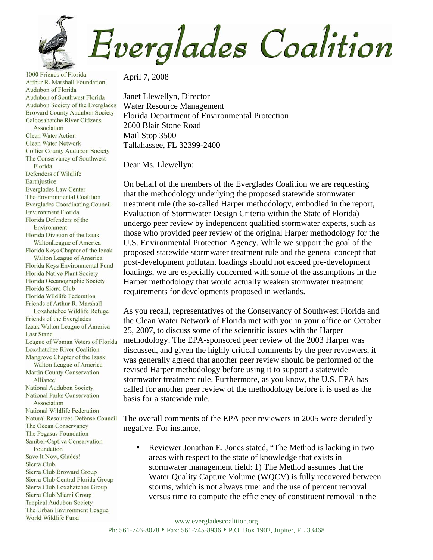**Everglades Coalition** 

1000 Friends of Florida Arthur R. Marshall Foundation Audubon of Florida Audubon of Southwest Florida Audubon Society of the Everglades **Broward County Audubon Society** Caloosahatche River Citizens Association **Clean Water Action Clean Water Network Collier County Audubon Society** The Conservancy of Southwest Florida Defenders of Wildlife Earthjustice **Everglades Law Center** The Environmental Coalition **Everglades Coordinating Council Environment Florida** Florida Defenders of the Environment Florida Division of the Izaak WaltonLeague of America Florida Keys Chapter of the Izaak Walton League of America Florida Keys Environmental Fund **Florida Native Plant Society** Florida Oceanographic Society Florida Sierra Club Florida Wildlife Federation Friends of Arthur R. Marshall Loxahatchee Wildlife Refuge Friends of the Everglades Izaak Walton League of America **Last Stand** League of Woman Voters of Florida **Loxahatchee River Coalition** Mangrove Chapter of the Izaak Walton League of America **Martin County Conservation** Alliance National Audubon Society **National Parks Conservation** Association National Wildlife Federation **Natural Resources Defense Council** The Ocean Conservancy The Pegasus Foundation Sanibel-Captiva Conservation Foundation Save It Now, Glades! Sierra Club Sierra Club Broward Group Sierra Club Central Florida Group Sierra Club Loxahatchee Group Sierra Club Miami Group **Tropical Audubon Society** The Urban Environment League World Wildlife Fund

April 7, 2008

Janet Llewellyn, Director Water Resource Management Florida Department of Environmental Protection 2600 Blair Stone Road Mail Stop 3500 Tallahassee, FL 32399-2400

Dear Ms. Llewellyn:

On behalf of the members of the Everglades Coalition we are requesting that the methodology underlying the proposed statewide stormwater treatment rule (the so-called Harper methodology, embodied in the report, Evaluation of Stormwater Design Criteria within the State of Florida) undergo peer review by independent qualified stormwater experts, such as those who provided peer review of the original Harper methodology for the U.S. Environmental Protection Agency. While we support the goal of the proposed statewide stormwater treatment rule and the general concept that post-development pollutant loadings should not exceed pre-development loadings, we are especially concerned with some of the assumptions in the Harper methodology that would actually weaken stormwater treatment requirements for developments proposed in wetlands.

As you recall, representatives of the Conservancy of Southwest Florida and the Clean Water Network of Florida met with you in your office on October 25, 2007, to discuss some of the scientific issues with the Harper methodology. The EPA-sponsored peer review of the 2003 Harper was discussed, and given the highly critical comments by the peer reviewers, it was generally agreed that another peer review should be performed of the revised Harper methodology before using it to support a statewide stormwater treatment rule. Furthermore, as you know, the U.S. EPA has called for another peer review of the methodology before it is used as the basis for a statewide rule.

The overall comments of the EPA peer reviewers in 2005 were decidedly negative. For instance,

 Reviewer Jonathan E. Jones stated, "The Method is lacking in two areas with respect to the state of knowledge that exists in stormwater management field: 1) The Method assumes that the Water Quality Capture Volume (WQCV) is fully recovered between storms, which is not always true: and the use of percent removal versus time to compute the efficiency of constituent removal in the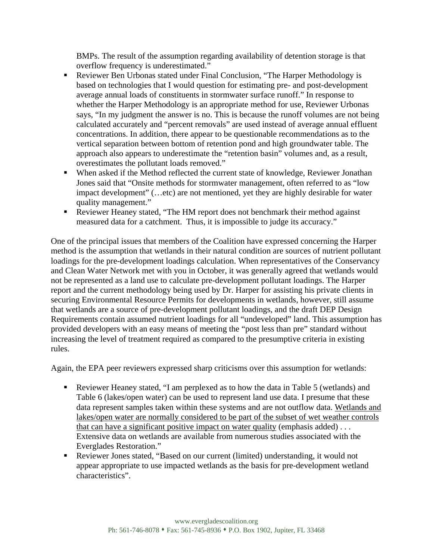BMPs. The result of the assumption regarding availability of detention storage is that overflow frequency is underestimated."

- Reviewer Ben Urbonas stated under Final Conclusion, "The Harper Methodology is based on technologies that I would question for estimating pre- and post-development average annual loads of constituents in stormwater surface runoff." In response to whether the Harper Methodology is an appropriate method for use, Reviewer Urbonas says, "In my judgment the answer is no. This is because the runoff volumes are not being calculated accurately and "percent removals" are used instead of average annual effluent concentrations. In addition, there appear to be questionable recommendations as to the vertical separation between bottom of retention pond and high groundwater table. The approach also appears to underestimate the "retention basin" volumes and, as a result, overestimates the pollutant loads removed."
- When asked if the Method reflected the current state of knowledge, Reviewer Jonathan Jones said that "Onsite methods for stormwater management, often referred to as "low impact development" (…etc) are not mentioned, yet they are highly desirable for water quality management."
- Reviewer Heaney stated, "The HM report does not benchmark their method against measured data for a catchment. Thus, it is impossible to judge its accuracy."

One of the principal issues that members of the Coalition have expressed concerning the Harper method is the assumption that wetlands in their natural condition are sources of nutrient pollutant loadings for the pre-development loadings calculation. When representatives of the Conservancy and Clean Water Network met with you in October, it was generally agreed that wetlands would not be represented as a land use to calculate pre-development pollutant loadings. The Harper report and the current methodology being used by Dr. Harper for assisting his private clients in securing Environmental Resource Permits for developments in wetlands, however, still assume that wetlands are a source of pre-development pollutant loadings, and the draft DEP Design Requirements contain assumed nutrient loadings for all "undeveloped" land. This assumption has provided developers with an easy means of meeting the "post less than pre" standard without increasing the level of treatment required as compared to the presumptive criteria in existing rules.

Again, the EPA peer reviewers expressed sharp criticisms over this assumption for wetlands:

- Reviewer Heaney stated, "I am perplexed as to how the data in Table 5 (wetlands) and Table 6 (lakes/open water) can be used to represent land use data. I presume that these data represent samples taken within these systems and are not outflow data. Wetlands and lakes/open water are normally considered to be part of the subset of wet weather controls that can have a significant positive impact on water quality (emphasis added) . . . Extensive data on wetlands are available from numerous studies associated with the Everglades Restoration."
- Reviewer Jones stated, "Based on our current (limited) understanding, it would not appear appropriate to use impacted wetlands as the basis for pre-development wetland characteristics".